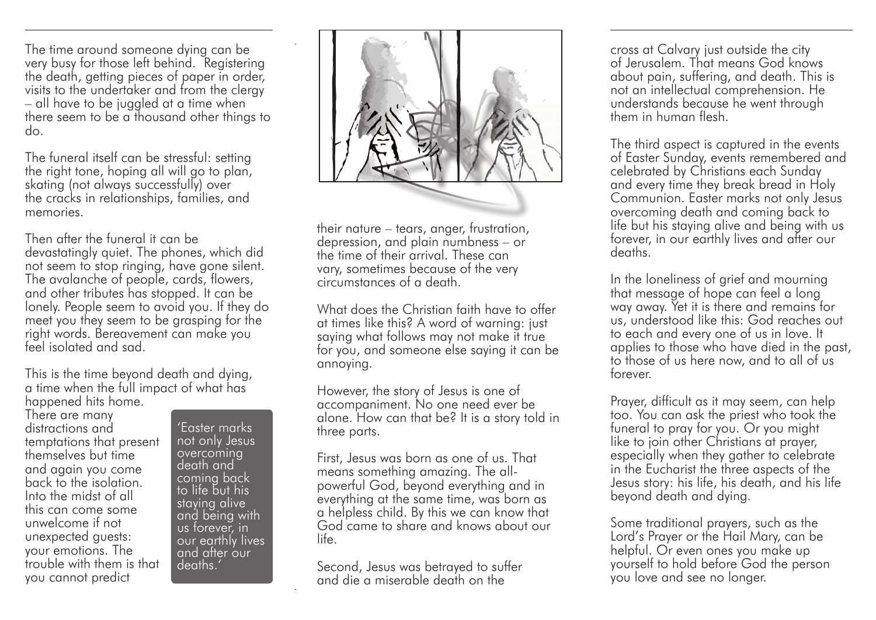The time around someone dying can be very busy for those left behind. Registering the death, getting pieces of paper in order, visits to the undertaker and from the clergy – all have to be juggled at a time when there seem to be a thousand other things to do.

The funeral itself can be stressful: setting the right tone, hoping all will go to plan, skating (not always successfully) over the cracks in relationships, families, and memories.

Then after the funeral it can be devastatingly quiet. The phones, which did not seem to stop ringing, have gone silent. The avalanche of people, cards, flowers, and other tributes has stopped. It can be lonely. People seem to avoid you. If they do meet you they seem to be grasping for the right words. Bereavement can make you feel isolated and sad.

This is the time beyond death and dying, a time when the full impact of what has happened hits home.

There are many distractions and temptations that present themselves but time and again you come back to the isolation. Into the midst of all this can come some unwelcome if not unexpected guests: your emotions. The trouble with them is that you cannot predict

'Easter marks not only Jesus overcoming death and coming back to life but his staying alive and being with us forever, in our earthly lives and after our deaths.'



their nature – tears, anger, frustration, depression, and plain numbness – or the time of their arrival. These can vary, sometimes because of the very circumstances of a death.

What does the Christian faith have to offer at times like this? A word of warning: just saying what follows may not make it true for you, and someone else saying it can be annoying.

However, the story of Jesus is one of accompaniment. No one need ever be alone. How can that be? It is a story told in three parts.

First, Jesus was born as one of us. That means something amazing. The allpowerful God, beyond everything and in everything at the same time, was born as a helpless child. By this we can know that God came to share and knows about our life.

Second, Jesus was betrayed to suffer and die a miserable death on the

cross at Calvary just outside the city of Jerusalem. That means God knows about pain, suffering, and death. This is not an intellectual comprehension. He understands because he went through them in human flesh.

The third aspect is captured in the events of Easter Sunday, events remembered and celebrated by Christians each Sunday and every time they break bread in Holy Communion. Easter marks not only Jesus overcoming death and coming back to life but his staying alive and being with us forever, in our earthly lives and after our deaths.

In the loneliness of grief and mourning that message of hope can feel a long way away. Yet it is there and remains for us, understood like this: God reaches out to each and every one of us in love. It applies to those who have died in the past, to those of us here now, and to all of us forever.

Prayer, difficult as it may seem, can help too. You can ask the priest who took the funeral to pray for you. Or you might like to join other Christians at prayer, especially when they gather to celebrate in the Eucharist the three aspects of the Jesus story: his life, his death, and his life beyond death and dying.

Some traditional prayers, such as the Lord's Prayer or the Hail Mary, can be helpful. Or even ones you make up yourself to hold before God the person you love and see no longer.